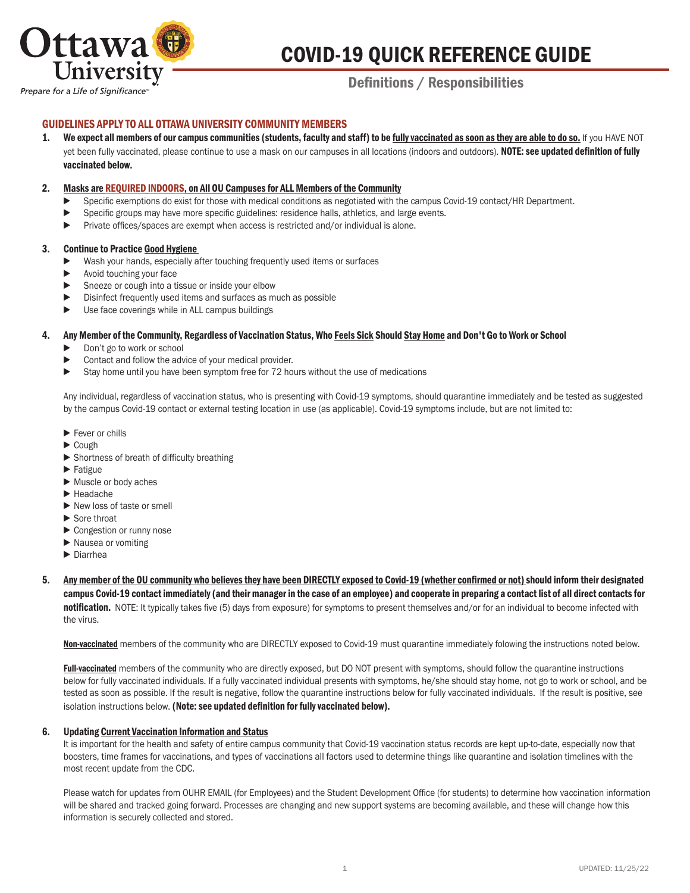

# COVID-19 QUICK REFERENCE GUIDE

# Definitions / Responsibilities

# GUIDELINES APPLY TO ALL OTTAWA UNIVERSITY COMMUNITY MEMBERS

1. We expect all members of our campus communities (students, faculty and staff) to be fully vaccinated as soon as they are able to do so. If you HAVE NOT yet been fully vaccinated, please continue to use a mask on our campuses in all locations (indoors and outdoors). NOTE: see updated definition of fully vaccinated below.

#### 2. Masks are REQUIRED INDOORS, on All OU Campuses for ALL Members of the Community

- Specific exemptions do exist for those with medical conditions as negotiated with the campus Covid-19 contact/HR Department.
- ► Specific groups may have more specific guidelines: residence halls, athletics, and large events.
- ► Private offices/spaces are exempt when access is restricted and/or individual is alone.

#### 3. Continue to Practice Good Hygiene

- Wash your hands, especially after touching frequently used items or surfaces
- ► Avoid touching your face
- ► Sneeze or cough into a tissue or inside your elbow
- ▶ Disinfect frequently used items and surfaces as much as possible
- ▶ Use face coverings while in ALL campus buildings

#### 4. Any Member of the Community, Regardless of Vaccination Status, Who Feels Sick Should Stay Home and Don't Go to Work or School

- ► Don't go to work or school
- Contact and follow the advice of your medical provider.
- ► Stay home until you have been symptom free for 72 hours without the use of medications

 Any individual, regardless of vaccination status, who is presenting with Covid-19 symptoms, should quarantine immediately and be tested as suggested by the campus Covid-19 contact or external testing location in use (as applicable). Covid-19 symptoms include, but are not limited to:

- ► Fever or chills
- ► Cough
- ► Shortness of breath of difficulty breathing
- ► Fatigue
- ► Muscle or body aches
- ► Headache
- ► New loss of taste or smell
- ► Sore throat
- ► Congestion or runny nose
- ► Nausea or vomiting
- ► Diarrhea
- 5. Any member of the OU community who believes they have been DIRECTLY exposed to Covid-19 (whether confirmed or not) should inform their designated campus Covid-19 contact immediately (and their manager in the case of an employee) and cooperate in preparing a contact list of all direct contacts for notification. NOTE: It typically takes five (5) days from exposure) for symptoms to present themselves and/or for an individual to become infected with the virus.

Non-vaccinated members of the community who are DIRECTLY exposed to Covid-19 must quarantine immediately folowing the instructions noted below.

Full-vaccinated members of the community who are directly exposed, but DO NOT present with symptoms, should follow the quarantine instructions below for fully vaccinated individuals. If a fully vaccinated individual presents with symptoms, he/she should stay home, not go to work or school, and be tested as soon as possible. If the result is negative, follow the quarantine instructions below for fully vaccinated individuals. If the result is positive, see isolation instructions below. (Note: see updated definition for fully vaccinated below).

#### 6. Updating Current Vaccination Information and Status

It is important for the health and safety of entire campus community that Covid-19 vaccination status records are kept up-to-date, especially now that boosters, time frames for vaccinations, and types of vaccinations all factors used to determine things like quarantine and isolation timelines with the most recent update from the CDC.

 Please watch for updates from OUHR EMAIL (for Employees) and the Student Development Office (for students) to determine how vaccination information will be shared and tracked going forward. Processes are changing and new support systems are becoming available, and these will change how this information is securely collected and stored.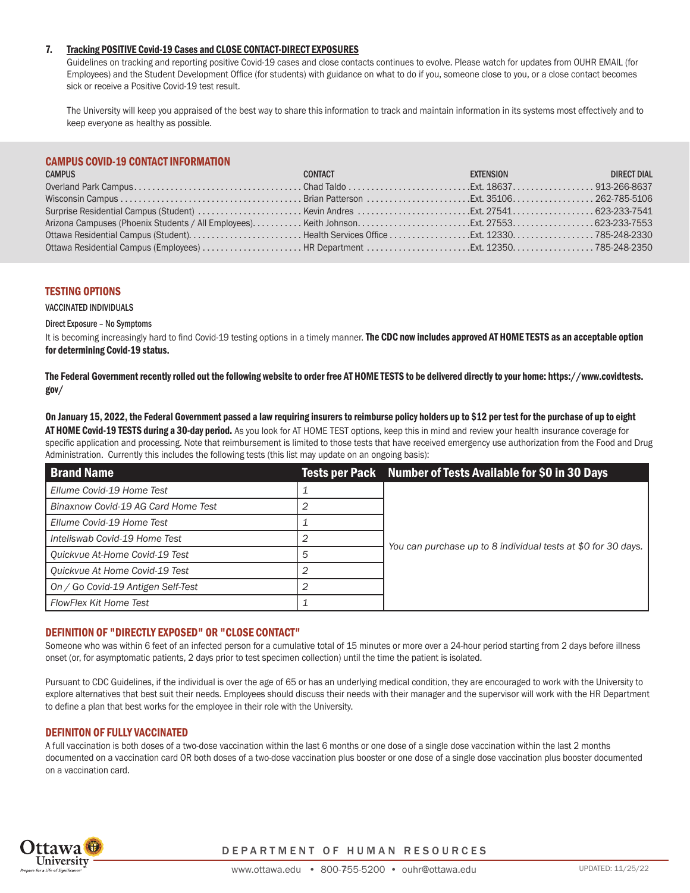## 7. Tracking POSITIVE Covid-19 Cases and CLOSE CONTACT-DIRECT EXPOSURES

 Guidelines on tracking and reporting positive Covid-19 cases and close contacts continues to evolve. Please watch for updates from OUHR EMAIL (for Employees) and the Student Development Office (for students) with guidance on what to do if you, someone close to you, or a close contact becomes sick or receive a Positive Covid-19 test result.

The University will keep you appraised of the best way to share this information to track and maintain information in its systems most effectively and to keep everyone as healthy as possible.

# CAMPUS COVID-19 CONTACT INFORMATION

| <b>CAMPUS</b> | CONTACT<br>a di sebagai kecamatan Sebagai Kecamatan Sebagai Kecamatan Sebagai Kecamatan Sebagai Kecamatan Sebagai Kecamat | <b>EXTENSION EXTENSION</b> | DIRECT DIAL |
|---------------|---------------------------------------------------------------------------------------------------------------------------|----------------------------|-------------|
|               |                                                                                                                           |                            |             |
|               |                                                                                                                           |                            |             |
|               |                                                                                                                           |                            |             |
|               |                                                                                                                           |                            |             |
|               |                                                                                                                           |                            |             |
|               |                                                                                                                           |                            |             |

#### TESTING OPTIONS

VACCINATED INDIVIDUALS

#### Direct Exposure – No Symptoms

It is becoming increasingly hard to find Covid-19 testing options in a timely manner. The CDC now includes approved AT HOME TESTS as an acceptable option for determining Covid-19 status.

The Federal Government recently rolled out the following website to order free AT HOME TESTS to be delivered directly to your home: https://www.covidtests. gov/

On January 15, 2022, the Federal Government passed a law requiring insurers to reimburse policy holders up to \$12 per test for the purchase of up to eight AT HOME Covid-19 TESTS during a 30-day period. As you look for AT HOME TEST options, keep this in mind and review your health insurance coverage for specific application and processing. Note that reimbursement is limited to those tests that have received emergency use authorization from the Food and Drug Administration. Currently this includes the following tests (this list may update on an ongoing basis):

| <b>Brand Name</b>                   |   | Tests per Pack Number of Tests Available for \$0 in 30 Days   |  |
|-------------------------------------|---|---------------------------------------------------------------|--|
| Ellume Covid-19 Home Test           |   | You can purchase up to 8 individual tests at \$0 for 30 days. |  |
| Binaxnow Covid-19 AG Card Home Test |   |                                                               |  |
| Ellume Covid-19 Home Test           |   |                                                               |  |
| Inteliswab Covid-19 Home Test       |   |                                                               |  |
| Quickvue At-Home Covid-19 Test      | 5 |                                                               |  |
| Quickvue At Home Covid-19 Test      |   |                                                               |  |
| On / Go Covid-19 Antigen Self-Test  |   |                                                               |  |
| <b>FlowFlex Kit Home Test</b>       |   |                                                               |  |

### DEFINITION OF "DIRECTLY EXPOSED" OR "CLOSE CONTACT"

Someone who was within 6 feet of an infected person for a cumulative total of 15 minutes or more over a 24-hour period starting from 2 days before illness onset (or, for asymptomatic patients, 2 days prior to test specimen collection) until the time the patient is isolated.

Pursuant to CDC Guidelines, if the individual is over the age of 65 or has an underlying medical condition, they are encouraged to work with the University to explore alternatives that best suit their needs. Employees should discuss their needs with their manager and the supervisor will work with the HR Department to define a plan that best works for the employee in their role with the University.

#### DEFINITON OF FULLY VACCINATED

A full vaccination is both doses of a two-dose vaccination within the last 6 months or one dose of a single dose vaccination within the last 2 months documented on a vaccination card OR both doses of a two-dose vaccination plus booster or one dose of a single dose vaccination plus booster documented on a vaccination card.



DEPARTMENT OF HUMAN RESOURCES